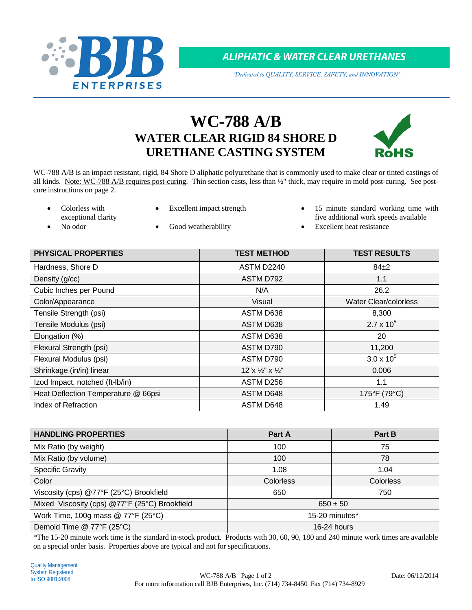

*ALIPHATIC & WATER CLEAR URETHANES*

*"Dedicated to QUALITY, SERVICE, SAFETY, and INNOVATION"*

# **WC-788 A/B WATER CLEAR RIGID 84 SHORE D URETHANE CASTING SYSTEM**



WC-788 A/B is an impact resistant, rigid, 84 Shore D aliphatic polyurethane that is commonly used to make clear or tinted castings of all kinds. Note: WC-788 A/B requires post-curing. Thin section casts, less than ½" thick, may require in mold post-curing. See postcure instructions on page 2.

- Colorless with exceptional clarity
- 
- Excellent impact strength 15 minute standard working time with five additional work speeds available

- 
- No odor Good weatherability Excellent heat resistance

| <b>PHYSICAL PROPERTIES</b>          | <b>TEST METHOD</b>                | <b>TEST RESULTS</b>          |
|-------------------------------------|-----------------------------------|------------------------------|
| Hardness, Shore D                   | ASTM D2240                        | $84\pm2$                     |
| Density (g/cc)                      | ASTM D792                         | 1.1                          |
| Cubic Inches per Pound              | N/A                               | 26.2                         |
| Color/Appearance                    | Visual                            | <b>Water Clear/colorless</b> |
| Tensile Strength (psi)              | ASTM D638                         | 8,300                        |
| Tensile Modulus (psi)               | ASTM D638                         | $2.7 \times 10^{5}$          |
| Elongation (%)                      | ASTM D638                         | 20                           |
| Flexural Strength (psi)             | ASTM D790                         | 11,200                       |
| Flexural Modulus (psi)              | ASTM D790                         | $3.0 \times 10^{5}$          |
| Shrinkage (in/in) linear            | $12"x \frac{1}{2}"x \frac{1}{2}"$ | 0.006                        |
| Izod Impact, notched (ft-Ib/in)     | ASTM D256                         | 1.1                          |
| Heat Deflection Temperature @ 66psi | ASTM D648                         | 175°F (79°C)                 |
| Index of Refraction                 | ASTM D648                         | 1.49                         |

| <b>HANDLING PROPERTIES</b>                    | Part A         | Part B    |
|-----------------------------------------------|----------------|-----------|
| Mix Ratio (by weight)                         | 100            | 75        |
| Mix Ratio (by volume)                         | 100            | 78        |
| <b>Specific Gravity</b>                       | 1.08           | 1.04      |
| Color                                         | Colorless      | Colorless |
| Viscosity (cps) @77°F (25°C) Brookfield       | 650            | 750       |
| Mixed Viscosity (cps) @77°F (25°C) Brookfield | $650 \pm 50$   |           |
| Work Time, 100g mass $@$ 77°F (25°C)          | 15-20 minutes* |           |
| Demold Time @ 77°F (25°C)                     | 16-24 hours    |           |

\*The 15-20 minute work time is the standard in-stock product. Products with 30, 60, 90, 180 and 240 minute work times are available on a special order basis. Properties above are typical and not for specifications.